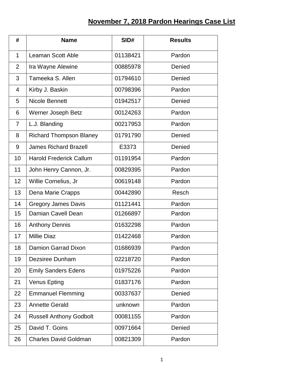## **November 7, 2018 Pardon Hearings Case List**

| #              | <b>Name</b>                    | SID#     | <b>Results</b> |
|----------------|--------------------------------|----------|----------------|
| $\mathbf{1}$   | <b>Leaman Scott Able</b>       | 01138421 | Pardon         |
| $\overline{2}$ | Ira Wayne Alewine              | 00885978 | Denied         |
| 3              | Tameeka S. Allen               | 01794610 | Denied         |
| 4              | Kirby J. Baskin                | 00798396 | Pardon         |
| 5              | <b>Nicole Bennett</b>          | 01942517 | Denied         |
| 6              | Werner Joseph Betz             | 00124263 | Pardon         |
| $\overline{7}$ | L.J. Blanding                  | 00217953 | Pardon         |
| 8              | <b>Richard Thompson Blaney</b> | 01791790 | Denied         |
| 9              | <b>James Richard Brazell</b>   | E3373    | Denied         |
| 10             | <b>Harold Frederick Callum</b> | 01191954 | Pardon         |
| 11             | John Henry Cannon, Jr.         | 00829395 | Pardon         |
| 12             | Willie Cornelius, Jr           | 00619148 | Pardon         |
| 13             | Dena Marie Crapps              | 00442890 | Resch          |
| 14             | <b>Gregory James Davis</b>     | 01121441 | Pardon         |
| 15             | Damian Cavell Dean             | 01266897 | Pardon         |
| 16             | <b>Anthony Dennis</b>          | 01632298 | Pardon         |
| 17             | <b>Millie Diaz</b>             | 01422468 | Pardon         |
| 18             | <b>Damion Garrad Dixon</b>     | 01686939 | Pardon         |
| 19             | <b>Dezsiree Dunham</b>         | 02218720 | Pardon         |
| 20             | <b>Emily Sanders Edens</b>     | 01975226 | Pardon         |
| 21             | <b>Venus Epting</b>            | 01837176 | Pardon         |
| 22             | <b>Emmanuel Flemming</b>       | 00337637 | Denied         |
| 23             | <b>Annette Gerald</b>          | unknown  | Pardon         |
| 24             | <b>Russell Anthony Godbolt</b> | 00081155 | Pardon         |
| 25             | David T. Goins                 | 00971664 | Denied         |
| 26             | <b>Charles David Goldman</b>   | 00821309 | Pardon         |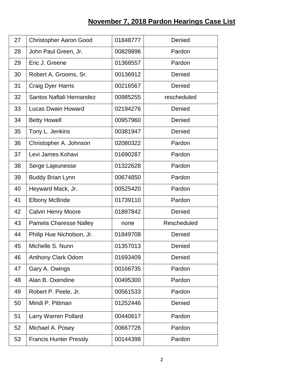## **November 7, 2018 Pardon Hearings Case List**

| 27 | <b>Christopher Aaron Good</b> | 01848777 | Denied      |
|----|-------------------------------|----------|-------------|
| 28 | John Paul Green, Jr.          | 00829896 | Pardon      |
| 29 | Eric J. Greene                | 01368557 | Pardon      |
| 30 | Robert A. Grooms, Sr.         | 00136912 | Denied      |
| 31 | <b>Craig Dyer Harris</b>      | 00216567 | Denied      |
| 32 | Santos Naftali Hernandez      | 00985255 | rescheduled |
| 33 | <b>Lucas Dwain Howard</b>     | 02194276 | Denied      |
| 34 | <b>Betty Howell</b>           | 00957960 | Denied      |
| 35 | Tony L. Jenkins               | 00381947 | Denied      |
| 36 | Christopher A. Johnson        | 02080322 | Pardon      |
| 37 | Levi James Kohavi             | 01690287 | Pardon      |
| 38 | Serge Lajeunesse              | 01322628 | Pardon      |
| 39 | <b>Buddy Brian Lynn</b>       | 00674850 | Pardon      |
| 40 | Heyward Mack, Jr.             | 00525420 | Pardon      |
| 41 | <b>Elbony McBride</b>         | 01739110 | Pardon      |
| 42 | <b>Calvin Henry Moore</b>     | 01897842 | Denied      |
| 43 | <b>Pamela Charesse Nalley</b> | none     | Rescheduled |
| 44 | Philip Hue Nicholson, Jr.     | 01849708 | Denied      |
| 45 | Michelle S. Nunn              | 01357013 | Denied      |
| 46 | <b>Anthony Clark Odom</b>     | 01693409 | Denied      |
| 47 | Gary A. Owings                | 00166735 | Pardon      |
| 48 | Alan B. Oxendine              | 00495300 | Pardon      |
| 49 | Robert P. Peele, Jr.          | 00561533 | Pardon      |
| 50 | Mindi P. Pittman              | 01252446 | Denied      |
| 51 | Larry Warren Pollard          | 00440617 | Pardon      |
| 52 | Michael A. Posey              | 00667726 | Pardon      |
| 53 | <b>Francis Hunter Pressly</b> | 00144398 | Pardon      |